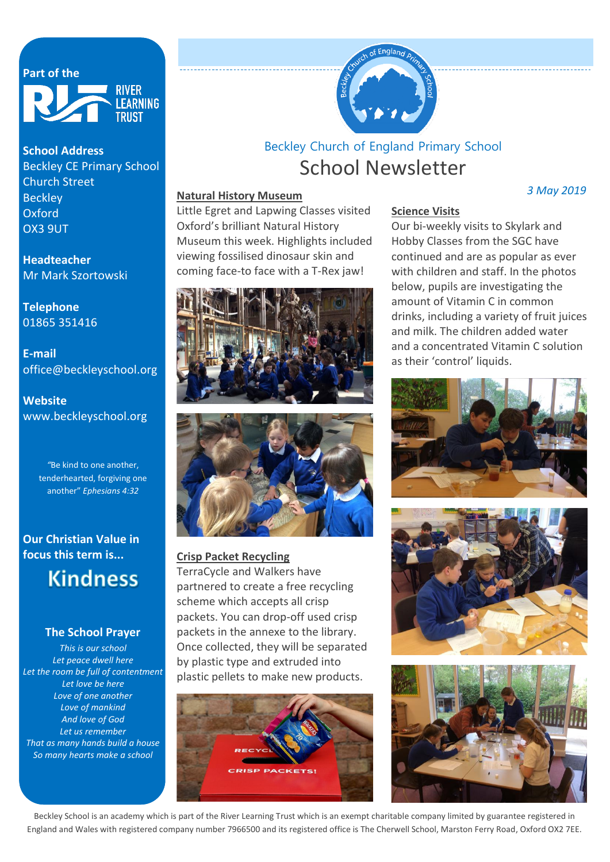## Part of the



#### **School Address**

Beckley CE Primary School Church Street **Beckley Oxford** OX3 9UT

**Headteacher** Mr Mark Szortowski

**Telephone** 01865 351416

**E-mail** office@beckleyschool.org

**Website** www.beckleyschool.org

> *"*Be kind to one another, tenderhearted, forgiving one another" *[Ephesians 4:32](https://www.biblegateway.com/passage/?search=Ephesians+4%3A32&version=ESV)*

**Our Christian Value in focus this term is...**

# **Kindness**

#### **The School Prayer**

*This is our school Let peace dwell here Let the room be full of contentment Let love be here Love of one another Love of mankind And love of God Let us remember That as many hands build a house So many hearts make a school*



# School Newsletter Beckley Church of England Primary School

#### **Natural History Museum**

Little Egret and Lapwing Classes visited Oxford's brilliant Natural History Museum this week. Highlights included viewing fossilised dinosaur skin and coming face-to face with a T-Rex jaw!





#### **Crisp Packet Recycling**

TerraCycle and Walkers have partnered to create a free recycling scheme which accepts all crisp packets. You can drop-off used crisp packets in the annexe to the library. Once collected, they will be separated by plastic type and extruded into plastic pellets to make new products.



#### **Science Visits**

Our bi-weekly visits to Skylark and Hobby Classes from the SGC have continued and are as popular as ever with children and staff. In the photos below, pupils are investigating the amount of Vitamin C in common drinks, including a variety of fruit juices and milk. The children added water and a concentrated Vitamin C solution as their 'control' liquids.







Beckley School is an academy which is part of the River Learning Trust which is an exempt charitable company limited by guarantee registered in England and Wales with registered company number 7966500 and its registered office is The Cherwell School, Marston Ferry Road, Oxford OX2 7EE.

#### *3 May 2019*